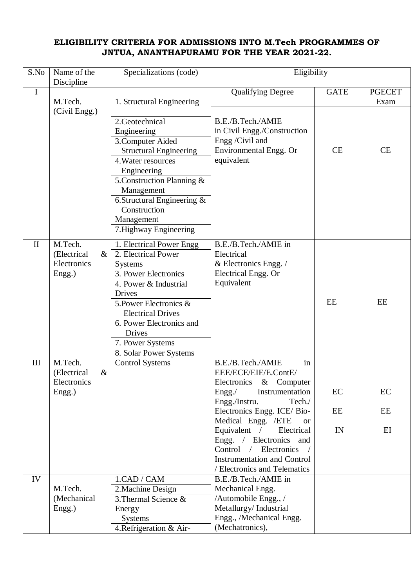## **ELIGIBILITY CRITERIA FOR ADMISSIONS INTO M.Tech PROGRAMMES OF JNTUA, ANANTHAPURAMU FOR THE YEAR 2021-22.**

| S.No         | Name of the<br>Discipline                               | Specializations (code)                                                                                                                                                                                                                                                        | Eligibility                                                                                                                                                                                                                                                                                                                                                      |                |                       |
|--------------|---------------------------------------------------------|-------------------------------------------------------------------------------------------------------------------------------------------------------------------------------------------------------------------------------------------------------------------------------|------------------------------------------------------------------------------------------------------------------------------------------------------------------------------------------------------------------------------------------------------------------------------------------------------------------------------------------------------------------|----------------|-----------------------|
| $\bf I$      | M.Tech.                                                 | 1. Structural Engineering                                                                                                                                                                                                                                                     | <b>Qualifying Degree</b>                                                                                                                                                                                                                                                                                                                                         | <b>GATE</b>    | <b>PGECET</b><br>Exam |
|              | (Civil Engg.)                                           | 2.Geotechnical<br>Engineering<br>3. Computer Aided<br><b>Structural Engineering</b><br>4. Water resources<br>Engineering<br>5. Construction Planning &<br>Management<br>6.Structural Engineering $\&$<br>Construction<br>Management<br>7. Highway Engineering                 | B.E./B.Tech./AMIE<br>in Civil Engg./Construction<br>Engg /Civil and<br>Environmental Engg. Or<br>equivalent                                                                                                                                                                                                                                                      | <b>CE</b>      | CE                    |
| $\mathbf{I}$ | M.Tech.<br>(Electrical<br>$\&$<br>Electronics<br>Engg.) | 1. Electrical Power Engg<br>2. Electrical Power<br><b>Systems</b><br>3. Power Electronics<br>4. Power & Industrial<br>Drives<br>5. Power Electronics &<br><b>Electrical Drives</b><br>6. Power Electronics and<br><b>Drives</b><br>7. Power Systems<br>8. Solar Power Systems | B.E./B.Tech./AMIE in<br>Electrical<br>& Electronics Engg. /<br>Electrical Engg. Or<br>Equivalent                                                                                                                                                                                                                                                                 | EE             | EE                    |
| III          | M.Tech.<br>(Electrical<br>$\&$<br>Electronics<br>Engg.) | <b>Control Systems</b>                                                                                                                                                                                                                                                        | B.E./B.Tech./AMIE<br>in<br>EEE/ECE/EIE/E.ContE/<br>Electronics<br>$&$ Computer<br>Instrumentation<br>Engg. /<br>Engg./Instru.<br>Tech./<br>Electronics Engg. ICE/Bio-<br>Medical Engg. /ETE<br><b>or</b><br>Equivalent /<br>Electrical<br>Engg. / Electronics and<br>Control / Electronics<br><b>Instrumentation and Control</b><br>/ Electronics and Telematics | EC<br>EE<br>IN | EC<br>EE<br>EI        |
| IV           | M.Tech.<br>(Mechanical<br>Engg.)                        | 1.CAD / CAM<br>2. Machine Design<br>3. Thermal Science &<br>Energy<br><b>Systems</b><br>4. Refrigeration & Air-                                                                                                                                                               | B.E./B.Tech./AMIE in<br>Mechanical Engg.<br>/Automobile Engg., /<br>Metallurgy/Industrial<br>Engg., /Mechanical Engg.<br>(Mechatronics),                                                                                                                                                                                                                         |                |                       |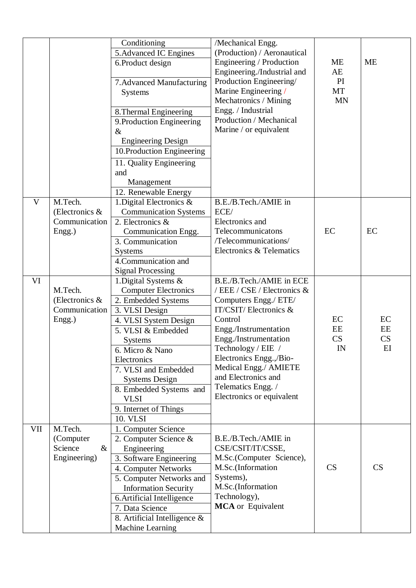|           |                                                         | Conditioning<br>5. Advanced IC Engines<br>6.Product design<br>7. Advanced Manufacturing<br>Systems<br>8. Thermal Engineering<br>9. Production Engineering<br>$\&$<br><b>Engineering Design</b><br>10. Production Engineering<br>11. Quality Engineering<br>and<br>Management<br>12. Renewable Energy                            | /Mechanical Engg.<br>(Production) / Aeronautical<br>Engineering / Production<br>Engineering./Industrial and<br>Production Engineering/<br>Marine Engineering /<br>Mechatronics / Mining<br>Engg. / Industrial<br>Production / Mechanical<br>Marine / or equivalent                                                         | <b>ME</b><br>AE<br>PI<br>MT<br><b>MN</b> | <b>ME</b>            |
|-----------|---------------------------------------------------------|---------------------------------------------------------------------------------------------------------------------------------------------------------------------------------------------------------------------------------------------------------------------------------------------------------------------------------|----------------------------------------------------------------------------------------------------------------------------------------------------------------------------------------------------------------------------------------------------------------------------------------------------------------------------|------------------------------------------|----------------------|
| V         | M.Tech.<br>(Electronics $\&$<br>Communication<br>Engg.) | 1. Digital Electronics &<br><b>Communication Systems</b><br>2. Electronics &<br>Communication Engg.<br>3. Communication<br>Systems<br>4. Communication and<br><b>Signal Processing</b>                                                                                                                                          | B.E./B.Tech./AMIE in<br>ECE/<br>Electronics and<br>Telecommunicatons<br>/Telecommunications/<br>Electronics & Telematics                                                                                                                                                                                                   | EC                                       | EC                   |
| <b>VI</b> | M.Tech.<br>(Electronics $\&$<br>Communication<br>Engg.) | 1. Digital Systems &<br><b>Computer Electronics</b><br>2. Embedded Systems<br>3. VLSI Design<br>4. VLSI System Design<br>5. VLSI & Embedded<br><b>Systems</b><br>6. Micro & Nano<br>Electronics<br>7. VLSI and Embedded<br><b>Systems Design</b><br>8. Embedded Systems and<br><b>VLSI</b><br>9. Internet of Things<br>10. VLSI | B.E./B.Tech./AMIE in ECE<br>/ EEE / CSE / Electronics &<br>Computers Engg./ ETE/<br>IT/CSIT/Electronics &<br>Control<br>Engg./Instrumentation<br>Engg./Instrumentation<br>Technology / EIE /<br>Electronics Engg.,/Bio-<br>Medical Engg./ AMIETE<br>and Electronics and<br>Telematics Engg. /<br>Electronics or equivalent | EC<br>EE<br>CS<br>IN                     | EC<br>EE<br>CS<br>EI |
| VII       | M.Tech.<br>(Computer<br>Science<br>$\&$<br>Engineering) | 1. Computer Science<br>2. Computer Science &<br>Engineering<br>3. Software Engineering<br>4. Computer Networks<br>5. Computer Networks and<br><b>Information Security</b><br>6. Artificial Intelligence<br>7. Data Science<br>8. Artificial Intelligence $\&$<br>Machine Learning                                               | B.E./B.Tech./AMIE in<br>CSE/CSIT/IT/CSSE,<br>M.Sc.(Computer Science),<br>M.Sc.(Information<br>Systems),<br>M.Sc.(Information<br>Technology),<br><b>MCA</b> or Equivalent                                                                                                                                                   | CS                                       | CS                   |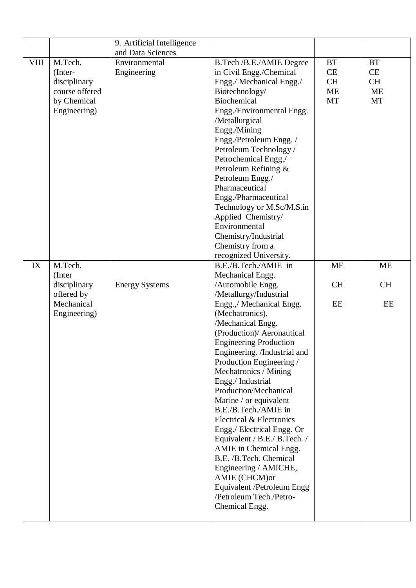|             |                | 9. Artificial Intelligence |                                                               |           |           |
|-------------|----------------|----------------------------|---------------------------------------------------------------|-----------|-----------|
|             |                | and Data Sciences          |                                                               |           |           |
| <b>VIII</b> | M.Tech.        | Environmental              | B.Tech /B.E./AMIE Degree                                      | <b>BT</b> | <b>BT</b> |
|             | (Inter-        | Engineering                | in Civil Engg./Chemical                                       | CE        | CE        |
|             | disciplinary   |                            | Engg./ Mechanical Engg./                                      | <b>CH</b> | <b>CH</b> |
|             | course offered |                            | Biotechnology/                                                | <b>ME</b> | ME        |
|             | by Chemical    |                            | <b>Biochemical</b>                                            | <b>MT</b> | MT        |
|             | Engineering)   |                            | Engg./Environmental Engg.                                     |           |           |
|             |                |                            | /Metallurgical                                                |           |           |
|             |                |                            | Engg./Mining                                                  |           |           |
|             |                |                            | Engg./Petroleum Engg./                                        |           |           |
|             |                |                            | Petroleum Technology /                                        |           |           |
|             |                |                            | Petrochemical Engg./                                          |           |           |
|             |                |                            | Petroleum Refining &                                          |           |           |
|             |                |                            | Petroleum Engg./                                              |           |           |
|             |                |                            | Pharmaceutical                                                |           |           |
|             |                |                            | Engg./Pharmaceutical                                          |           |           |
|             |                |                            | Technology or M.Sc/M.S.in                                     |           |           |
|             |                |                            | Applied Chemistry/                                            |           |           |
|             |                |                            | Environmental                                                 |           |           |
|             |                |                            | Chemistry/Industrial                                          |           |           |
|             |                |                            | Chemistry from a                                              |           |           |
|             |                |                            | recognized University.                                        |           |           |
| IX          | M.Tech.        |                            | B.E./B.Tech./AMIE in                                          | <b>ME</b> | <b>ME</b> |
|             | (Inter         |                            | Mechanical Engg.                                              |           |           |
|             | disciplinary   | <b>Energy Systems</b>      | /Automobile Engg.                                             | <b>CH</b> | <b>CH</b> |
|             | offered by     |                            | /Metallurgy/Industrial                                        |           |           |
|             | Mechanical     |                            | Engg.,/ Mechanical Engg.                                      | EE        | EE        |
|             | Engineering)   |                            | (Mechatronics),                                               |           |           |
|             |                |                            | /Mechanical Engg.                                             |           |           |
|             |                |                            | (Production)/ Aeronautical                                    |           |           |
|             |                |                            | <b>Engineering Production</b><br>Engineering. /Industrial and |           |           |
|             |                |                            | Production Engineering /                                      |           |           |
|             |                |                            | Mechatronics / Mining                                         |           |           |
|             |                |                            | Engg./Industrial                                              |           |           |
|             |                |                            | Production/Mechanical                                         |           |           |
|             |                |                            | Marine / or equivalent                                        |           |           |
|             |                |                            | B.E./B.Tech./AMIE in                                          |           |           |
|             |                |                            | Electrical & Electronics                                      |           |           |
|             |                |                            | Engg./ Electrical Engg. Or                                    |           |           |
|             |                |                            | Equivalent / B.E./ B.Tech. /                                  |           |           |
|             |                |                            | AMIE in Chemical Engg.                                        |           |           |
|             |                |                            | B.E. /B.Tech. Chemical                                        |           |           |
|             |                |                            | Engineering / AMICHE,                                         |           |           |
|             |                |                            | AMIE (CHCM)or                                                 |           |           |
|             |                |                            |                                                               |           |           |
|             |                |                            |                                                               |           |           |
|             |                |                            | Equivalent /Petroleum Engg<br>/Petroleum Tech./Petro-         |           |           |
|             |                |                            | Chemical Engg.                                                |           |           |